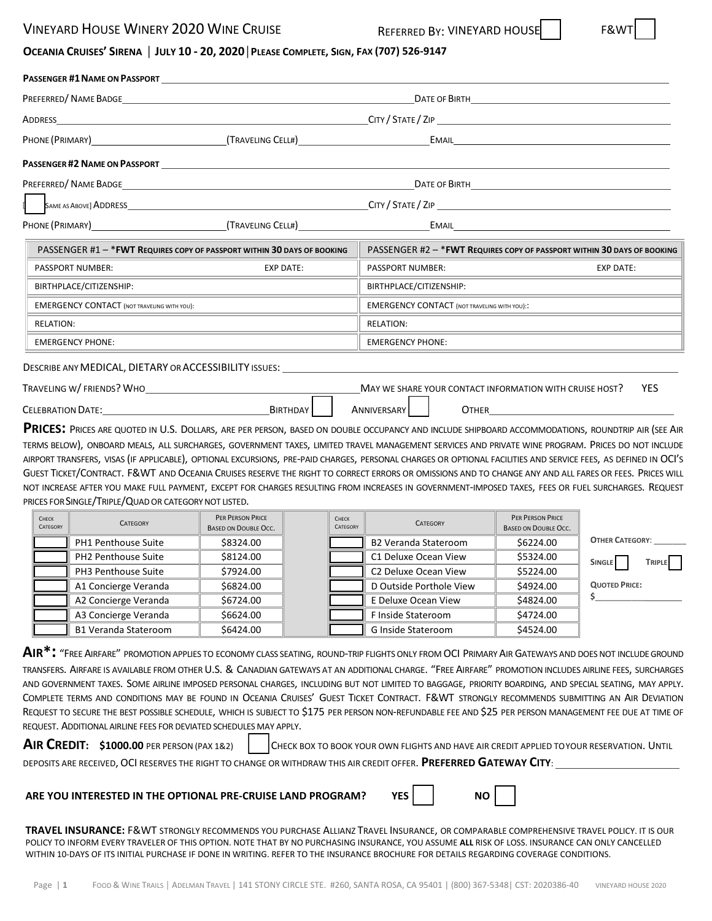### VINEYARD HOUSE WINERY 2020 WINE CRUISE FACKLOSS REFERRED BY: VINEYARD HOUSE



## OCEANIA CRUISES' SIRENA | JULY 10 - 20, 2020 | PLEASE COMPLETE, SIGN, FAX (707) 526-9147

|                                                    | PREFERRED/NAME BADGE AND A STATE OF THE STATE OF THE STATE OF THE STATE OF THE STATE OF THE STATE OF THE STATE OF THE STATE OF THE STATE OF THE STATE OF THE STATE OF THE STATE OF THE STATE OF THE STATE OF THE STATE OF THE |                                                                                                                                                  |                  |
|----------------------------------------------------|-------------------------------------------------------------------------------------------------------------------------------------------------------------------------------------------------------------------------------|--------------------------------------------------------------------------------------------------------------------------------------------------|------------------|
|                                                    |                                                                                                                                                                                                                               |                                                                                                                                                  |                  |
|                                                    |                                                                                                                                                                                                                               |                                                                                                                                                  |                  |
|                                                    |                                                                                                                                                                                                                               |                                                                                                                                                  |                  |
|                                                    |                                                                                                                                                                                                                               |                                                                                                                                                  |                  |
|                                                    |                                                                                                                                                                                                                               |                                                                                                                                                  |                  |
|                                                    |                                                                                                                                                                                                                               |                                                                                                                                                  |                  |
|                                                    | PASSENGER #1 - * FWT REQUIRES COPY OF PASSPORT WITHIN 30 DAYS OF BOOKING                                                                                                                                                      | PASSENGER #2 - * FWT REQUIRES COPY OF PASSPORT WITHIN 30 DAYS OF BOOKING                                                                         |                  |
| <b>PASSPORT NUMBER:</b>                            | <b>EXP DATE:</b>                                                                                                                                                                                                              | <b>PASSPORT NUMBER:</b>                                                                                                                          | <b>EXP DATE:</b> |
| BIRTHPLACE/CITIZENSHIP:                            |                                                                                                                                                                                                                               | BIRTHPLACE/CITIZENSHIP:                                                                                                                          |                  |
| <b>EMERGENCY CONTACT (NOT TRAVELING WITH YOU):</b> |                                                                                                                                                                                                                               | <b>EMERGENCY CONTACT (NOT TRAVELING WITH YOU)::</b>                                                                                              |                  |
| <b>RELATION:</b>                                   |                                                                                                                                                                                                                               | <b>RELATION:</b><br><u> 1989 - Johann Stein, mars an deutscher Stein und der Stein und der Stein und der Stein und der Stein und der</u>         |                  |
| <b>EMERGENCY PHONE:</b>                            |                                                                                                                                                                                                                               | <b>EMERGENCY PHONE:</b><br><u> 1989 - Johann Harry Harry Harry Harry Harry Harry Harry Harry Harry Harry Harry Harry Harry Harry Harry Harry</u> |                  |
|                                                    |                                                                                                                                                                                                                               | DESCRIBE ANY MEDICAL, DIETARY OR ACCESSIBILITY ISSUES: THE STATE OF STATE ON A STATE OF STATE OF STATE OF STAT                                   |                  |
| TRAVELING W/ FRIENDS? WHO                          |                                                                                                                                                                                                                               | MAY WE SHARE YOUR CONTACT INFORMATION WITH CRUISE HOST?                                                                                          | <b>YES</b>       |

| TRAVELING W/ FRIENDS? WHO |          |                      | <b>IVIAY WE SHARE YOUR CONTACT INFORMATION WITH CRUISE HOST?</b> | 1 L.S |
|---------------------------|----------|----------------------|------------------------------------------------------------------|-------|
|                           |          |                      |                                                                  |       |
| <b>CELEBRATION DATE:</b>  | BIRTHDAY | ANNIVERSARY <b>!</b> | Отнер                                                            |       |

PRICES: PRICES ARE QUOTED IN U.S. DOLLARS, ARE PER PERSON, BASED ON DOUBLE OCCUPANCY AND INCLUDE SHIPBOARD ACCOMMODATIONS, ROUNDTRIP AIR (SEE AIR TERMS BELOW), ONBOARD MEALS, ALL SURCHARGES, GOVERNMENT TAXES, LIMITED TRAVEL MANAGEMENT SERVICES AND PRIVATE WINE PROGRAM. PRICES DO NOT INCLUDE AIRPORT TRANSFERS, VISAS (IF APPLICABLE), OPTIONAL EXCURSIONS, PRE-PAID CHARGES, PERSONAL CHARGES OR OPTIONAL FACILITIES AND SERVICE FEES, AS DEFINED IN OCI'S GUEST TICKET/CONTRACT. F&WT AND OCEANIA CRUISES RESERVE THE RIGHT TO CORRECT ERRORS OR OMISSIONS AND TO CHANGE ANY AND ALL FARES OR FEES. PRICES WILL NOT INCREASE AFTER YOU MAKE FULL PAYMENT, EXCEPT FOR CHARGES RESULTING FROM INCREASES IN GOVERNMENT-IMPOSED TAXES, FEES OR FUEL SURCHARGES. REQUEST PRICES FOR SINGLE/TRIPLE/QUAD OR CATEGORY NOT LISTED.

| CHECK<br>CATEGORY | <b>CATEGORY</b>             | PER PERSON PRICE<br><b>BASED ON DOUBLE OCC.</b> | CHECK<br>CATEGORY | <b>CATEGORY</b>                  | PER PERSON PRICE<br><b>BASED ON DOUBLE OCC.</b> |                                |
|-------------------|-----------------------------|-------------------------------------------------|-------------------|----------------------------------|-------------------------------------------------|--------------------------------|
|                   | PH1 Penthouse Suite         | \$8324.00                                       |                   | <b>B2 Veranda Stateroom</b>      | \$6224.00                                       | <b>OTHER CATEGORY:</b>         |
|                   | PH2 Penthouse Suite         | \$8124.00                                       |                   | C1 Deluxe Ocean View             | \$5324.00                                       | <b>TRIPLE</b><br><b>SINGLE</b> |
|                   | PH3 Penthouse Suite         | \$7924.00                                       |                   | C <sub>2</sub> Deluxe Ocean View | \$5224.00                                       |                                |
|                   | A1 Concierge Veranda        | \$6824.00                                       |                   | D Outside Porthole View          | \$4924.00                                       | <b>QUOTED PRICE:</b>           |
|                   | A2 Concierge Veranda        | \$6724.00                                       |                   | E Deluxe Ocean View              | \$4824.00                                       |                                |
|                   | A3 Concierge Veranda        | \$6624.00                                       |                   | F Inside Stateroom               | \$4724.00                                       |                                |
|                   | <b>B1 Veranda Stateroom</b> | \$6424.00                                       |                   | G Inside Stateroom               | \$4524.00                                       |                                |

**AIR\*:** "FREE AIRFARE" PROMOTION APPLIES TO ECONOMY CLASS SEATING, ROUND-TRIP FLIGHTS ONLY FROM OCI PRIMARY AIR GATEWAYS AND DOES NOT INCLUDE GROUND TRANSFERS. AIRFARE IS AVAILABLE FROM OTHER U.S. & CANADIAN GATEWAYS AT AN ADDITIONAL CHARGE. "FREE AIRFARE" PROMOTION INCLUDES AIRLINE FEES, SURCHARGES AND GOVERNMENT TAXES. SOME AIRLINE IMPOSED PERSONAL CHARGES, INCLUDING BUT NOT LIMITED TO BAGGAGE, PRIORITY BOARDING, AND SPECIAL SEATING, MAY APPLY. COMPLETE TERMS AND CONDITIONS MAY BE FOUND IN OCEANIA CRUISES' GUEST TICKET CONTRACT. F&WT STRONGLY RECOMMENDS SUBMITTING AN AIR DEVIATION REQUEST TO SECURE THE BEST POSSIBLE SCHEDULE, WHICH IS SUBJECT TO \$175 PER PERSON NON-REFUNDABLE FEE AND \$25 PER PERSON MANAGEMENT FEE DUE AT TIME OF REQUEST. ADDITIONAL AIRLINE FEES FOR DEVIATED SCHEDULES MAY APPLY.

| AIR CREDIT: \$1000.00 PER PERSON (PAX 1&2) | CHECK BOX TO BOOK YOUR OWN FLIGHTS AND HAVE AIR CREDIT APPLIED TOYOUR RESERVATION. UNTIL                           |
|--------------------------------------------|--------------------------------------------------------------------------------------------------------------------|
|                                            | DEPOSITS ARE RECEIVED, OCI RESERVES THE RIGHT TO CHANGE OR WITHDRAW THIS AIR CREDIT OFFER. PREFERRED GATEWAY CITY: |

### **ARE YOU INTERESTED IN THE OPTIONAL PRE-CRUISE LAND PROGRAM? YES**

**TRAVEL INSURANCE:** F&WT STRONGLY RECOMMENDS YOU PURCHASE ALLIANZ TRAVEL INSURANCE, OR COMPARABLE COMPREHENSIVE TRAVEL POLICY. IT IS OUR POLICY TO INFORM EVERY TRAVELER OF THIS OPTION. NOTE THAT BY NO PURCHASING INSURANCE, YOU ASSUME **ALL** RISK OF LOSS. INSURANCE CAN ONLY CANCELLED WITHIN 10-DAYS OF ITS INITIAL PURCHASE IF DONE IN WRITING. REFER TO THE INSURANCE BROCHURE FOR DETAILS REGARDING COVERAGE CONDITIONS.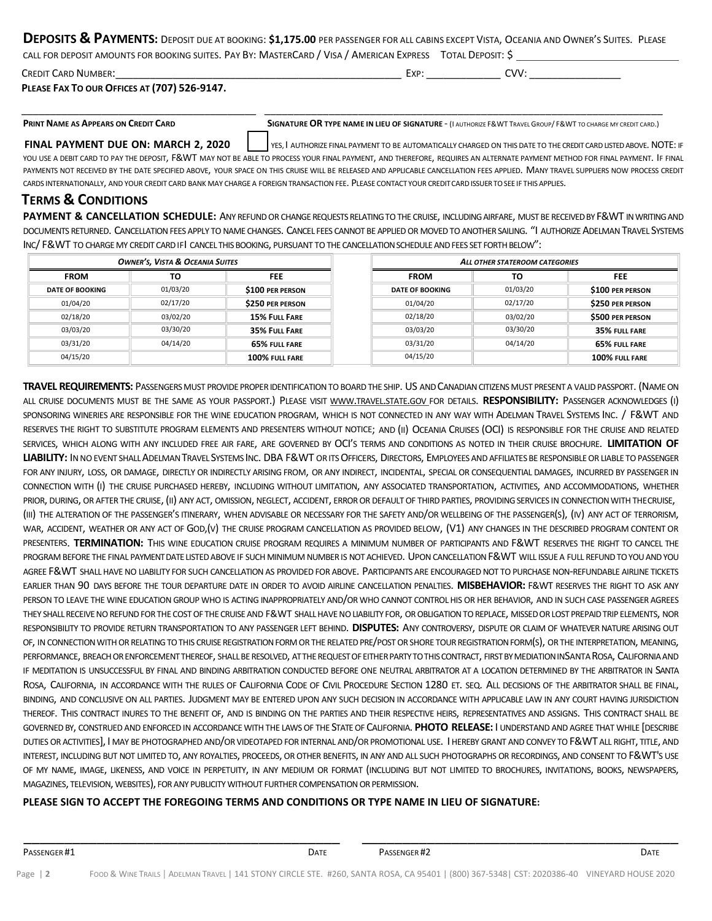| DEPOSITS & PAYMENTS: DEPOSIT DUE AT BOOKING: \$1,175.00 PER PASSENGER FOR ALL CABINS EXCEPT VISTA, OCEANIA AND OWNER'S SUITES. PLEASE |  |  |
|---------------------------------------------------------------------------------------------------------------------------------------|--|--|
| CALL FOR DEPOSIT AMOUNTS FOR BOOKING SUITES. PAY BY: MASTERCARD / VISA / AMERICAN EXPRESS TOTAL DEPOSIT: \$                           |  |  |

\_\_\_\_\_\_\_\_\_\_\_\_\_\_\_\_\_\_\_\_\_\_\_\_\_\_\_\_\_\_\_\_\_\_\_\_\_\_\_\_\_ \_\_\_\_\_\_\_\_\_\_\_\_\_\_\_\_\_\_\_\_\_\_\_\_\_\_\_\_\_\_\_\_\_\_\_\_\_\_\_\_\_\_\_\_\_\_\_\_\_\_\_\_\_\_\_\_\_\_\_\_\_\_\_\_\_\_\_\_

| <b>CREDIT CARD NUMBER:</b>                   | Exp: | CVV: |  |
|----------------------------------------------|------|------|--|
| PLEASE FAX TO OUR OFFICES AT (707) 526-9147. |      |      |  |

PRINT NAME AS APPEARS ON CREDIT CARD SIGNATURE OR TYPE NAME IN LIEU OF SIGNATURE - (I AUTHORIZE F&WT TRAVEL GROUP/ F&WT TO CHARGE MY CREDIT CARD.)

**FINAL PAYMENT DUE ON: MARCH 2. 2020** | YES. I AUTHORIZE FINAL PAYMENT TO BE AUTOMATICALLY CHARGED ON THIS DATE TO THE CREDIT CARD LISTED ABOVE. NOTE: IF YOU USE A DEBIT CARD TO PAY THE DEPOSIT, F&WT MAY NOT BE ABLE TO PROCESS YOUR FINAL PAYMENT, AND THEREFORE, REQUIRES AN ALTERNATE PAYMENT METHOD FOR FINAL PAYMENT. IF FINAL PAYMENTS NOT RECEIVED BY THE DATE SPECIFIED ABOVE, YOUR SPACE ON THIS CRUISE WILL BE RELEASED AND APPLICABLE CANCELLATION FEES APPLIED. MANY TRAVEL SUPPLIERS NOW PROCESS CREDIT CARDS INTERNATIONALLY, AND YOUR CREDIT CARD BANK MAY CHARGE A FOREIGN TRANSACTION FEE. PLEASE CONTACT YOUR CREDITCARDISSUERTOSEE IF THIS APPLIES.

# **TERMS & CONDITIONS**

**PAYMENT & CANCELLATION SCHEDULE:** ANY REFUND OR CHANGE REQUESTS RELATING TO THE CRUISE, INCLUDING AIRFARE, MUST BE RECEIVED BY F&WT IN WRITING AND DOCUMENTS RETURNED. CANCELLATION FEES APPLY TO NAME CHANGES. CANCEL FEES CANNOT BE APPLIED OR MOVED TO ANOTHER SAILING. "I AUTHORIZE ADELMAN TRAVEL SYSTEMS INC/ F&WT TO CHARGE MY CREDIT CARD IFI CANCEL THIS BOOKING, PURSUANT TO THE CANCELLATION SCHEDULE AND FEES SET FORTH BELOW":

| <b>OWNER'S, VISTA &amp; OCEANIA SUITES</b> |          |                      |  | ALL OTHER STATEROOM CATEGORIES |          |                         |
|--------------------------------------------|----------|----------------------|--|--------------------------------|----------|-------------------------|
| <b>FROM</b>                                | τо       | <b>FEE</b>           |  |                                | τо       | <b>FEE</b>              |
| <b>DATE OF BOOKING</b>                     | 01/03/20 | \$100 PER PERSON     |  | <b>DATE OF BOOKING</b>         | 01/03/20 | \$100 PER PERSON        |
| 01/04/20                                   | 02/17/20 | \$250 PER PERSON     |  | 01/04/20                       | 02/17/20 | \$250 PER PERSON        |
| 02/18/20                                   | 03/02/20 | <b>15% FULL FARE</b> |  | 02/18/20                       | 03/02/20 | <b>\$500 PER PERSON</b> |
| 03/03/20                                   | 03/30/20 | 35% FULL FARE        |  | 03/03/20                       | 03/30/20 | 35% FULL FARE           |
| 03/31/20                                   | 04/14/20 | 65% FULL FARE        |  | 03/31/20                       | 04/14/20 | 65% FULL FARE           |
| 04/15/20                                   |          | 100% FULL FARE       |  | 04/15/20                       |          | 100% FULL FARE          |

**TRAVEL REQUIREMENTS:** PASSENGERSMUST PROVIDE PROPERIDENTIFICATIONTOBOARDTHE SHIP. US ANDCANADIANCITIZENSMUST PRESENT A VALIDPASSPORT. (NAMEON ALL CRUISE DOCUMENTS MUST BE THE SAME AS YOUR PASSPORT.) PLEASE VISIT WWW.TRAVEL.STATE.GOV FOR DETAILS. **RESPONSIBILITY:** PASSENGER ACKNOWLEDGES (I) SPONSORING WINERIES ARE RESPONSIBLE FOR THE WINE EDUCATION PROGRAM, WHICH IS NOT CONNECTED IN ANY WAY WITH ADELMAN TRAVEL SYSTEMS INC. / F&WT AND RESERVES THE RIGHT TO SUBSTITUTE PROGRAM ELEMENTS AND PRESENTERS WITHOUT NOTICE; AND (II) OCEANIA CRUISES (OCI) IS RESPONSIBLE FOR THE CRUISE AND RELATED SERVICES, WHICH ALONG WITH ANY INCLUDED FREE AIR FARE, ARE GOVERNED BY OCI'S TERMS AND CONDITIONS AS NOTED IN THEIR CRUISE BROCHURE. **LIMITATION OF**  LIABILITY: IN NO EVENT SHALL ADELMAN TRAVEL SYSTEMS INC. DBA F&WT OR ITS OFFICERS. DIRECTORS, EMPLOYEES AND AFFILIATES BE RESPONSIBLE OR LIABLE TO PASSENGER FOR ANY INJURY, LOSS, OR DAMAGE, DIRECTLY OR INDIRECTLY ARISING FROM, OR ANY INDIRECT, INCIDENTAL, SPECIAL OR CONSEQUENTIAL DAMAGES, INCURRED BY PASSENGER IN CONNECTION WITH (I) THE CRUISE PURCHASED HEREBY, INCLUDING WITHOUT LIMITATION, ANY ASSOCIATED TRANSPORTATION, ACTIVITIES, AND ACCOMMODATIONS, WHETHER PRIOR, DURING, OR AFTER THE CRUISE, (II) ANY ACT, OMISSION, NEGLECT, ACCIDENT, ERROR OR DEFAULT OF THIRD PARTIES, PROVIDING SERVICES IN CONNECTION WITH THECRUISE, (III) THE ALTERATION OF THE PASSENGER'S ITINERARY, WHEN ADVISABLE OR NECESSARY FOR THE SAFETY AND/OR WELLBEING OF THE PASSENGER(S), (IV) ANY ACT OF TERRORISM, WAR, ACCIDENT, WEATHER OR ANY ACT OF GOD,(V) THE CRUISE PROGRAM CANCELLATION AS PROVIDED BELOW, (V1) ANY CHANGES IN THE DESCRIBED PROGRAM CONTENT OR PRESENTERS. **TERMINATION:** THIS WINE EDUCATION CRUISE PROGRAM REQUIRES A MINIMUM NUMBER OF PARTICIPANTS AND F&WT RESERVES THE RIGHT TO CANCEL THE PROGRAM BEFORE THE FINAL PAYMENT DATE LISTED ABOVE IF SUCH MINIMUM NUMBER IS NOT ACHIEVED. UPON CANCELLATION F&WT WILL ISSUE A FULL REFUND TO YOU AND YOU AGREE F&WT SHALL HAVE NO LIABILITY FOR SUCH CANCELLATION AS PROVIDED FOR ABOVE. PARTICIPANTS ARE ENCOURAGED NOT TO PURCHASE NON-REFUNDABLE AIRLINE TICKETS EARLIER THAN 90 DAYS BEFORE THE TOUR DEPARTURE DATE IN ORDER TO AVOID AIRLINE CANCELLATION PENALTIES. **MISBEHAVIOR:** F&WT RESERVES THE RIGHT TO ASK ANY PERSON TO LEAVE THE WINE EDUCATION GROUP WHO IS ACTING INAPPROPRIATELY AND/OR WHO CANNOT CONTROL HIS OR HER BEHAVIOR, AND IN SUCH CASE PASSENGER AGREES THEY SHALL RECEIVE NO REFUND FOR THE COST OF THE CRUISE AND F&WT SHALL HAVE NO LIABILITY FOR, OR OBLIGATION TO REPLACE, MISSED OR LOST PREPAID TRIP ELEMENTS, NOR RESPONSIBILITY TO PROVIDE RETURN TRANSPORTATION TO ANY PASSENGER LEFT BEHIND. **DISPUTES:** ANY CONTROVERSY, DISPUTE OR CLAIM OF WHATEVER NATURE ARISING OUT OF, IN CONNECTION WITH OR RELATING TO THIS CRUISE REGISTRATION FORM OR THE RELATED PRE/POST OR SHORE TOUR REGISTRATION FORM(S). OR THE INTERPRETATION, MEANING, PERFORMANCE, BREACH OR ENFORCEMENT THEREOF, SHALL BE RESOLVED, AT THE REQUEST OF EITHER PARTY TO THIS CONTRACT, FIRST BY MEDIATION INSANTA ROSA, CALIFORNIA AND IF MEDITATION IS UNSUCCESSFUL BY FINAL AND BINDING ARBITRATION CONDUCTED BEFORE ONE NEUTRAL ARBITRATOR AT A LOCATION DETERMINED BY THE ARBITRATOR IN SANTA ROSA, CALIFORNIA, IN ACCORDANCE WITH THE RULES OF CALIFORNIA CODE OF CIVIL PROCEDURE SECTION 1280 ET. SEQ. ALL DECISIONS OF THE ARBITRATOR SHALL BE FINAL, BINDING, AND CONCLUSIVE ON ALL PARTIES. JUDGMENT MAY BE ENTERED UPON ANY SUCH DECISION IN ACCORDANCE WITH APPLICABLE LAW IN ANY COURT HAVING JURISDICTION THEREOF. THIS CONTRACT INURES TO THE BENEFIT OF, AND IS BINDING ON THE PARTIES AND THEIR RESPECTIVE HEIRS, REPRESENTATIVES AND ASSIGNS. THIS CONTRACT SHALL BE GOVERNED BY, CONSTRUED AND ENFORCED IN ACCORDANCEWITH THE LAWSOF THE STATEOFCALIFORNIA. **PHOTO RELEASE:** I UNDERSTAND AND AGREE THAT WHILE [DESCRIBE DUTIES OR ACTIVITIES], I MAY BE PHOTOGRAPHED AND/OR VIDEOTAPED FOR INTERNAL AND/OR PROMOTIONAL USE. I HEREBY GRANT AND CONVEY TO F&WT ALL RIGHT, TITLE, AND INTEREST, INCLUDING BUT NOT LIMITED TO, ANY ROYALTIES, PROCEEDS, OR OTHER BENEFITS, IN ANY AND ALL SUCH PHOTOGRAPHS OR RECORDINGS, AND CONSENT TO F&WT'S USE OF MY NAME, IMAGE, LIKENESS, AND VOICE IN PERPETUITY, IN ANY MEDIUM OR FORMAT (INCLUDING BUT NOT LIMITED TO BROCHURES, INVITATIONS, BOOKS, NEWSPAPERS, MAGAZINES, TELEVISION, WEBSITES), FOR ANY PUBLICITY WITHOUT FURTHER COMPENSATION OR PERMISSION.

### **PLEASE SIGN TO ACCEPT THE FOREGOING TERMS AND CONDITIONS OR TYPE NAME IN LIEU OF SIGNATURE:**

\_\_\_\_\_\_\_\_\_\_\_\_\_\_\_\_\_\_\_\_\_\_\_\_\_\_\_\_\_\_\_\_\_\_\_\_\_\_\_ \_\_\_\_\_\_\_\_\_\_\_\_\_\_\_\_\_\_\_\_\_\_\_\_\_\_\_\_\_\_\_\_\_\_\_\_\_\_\_